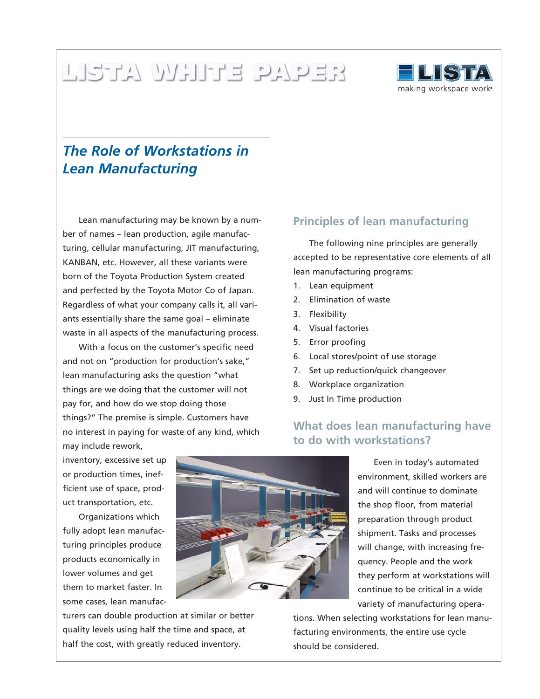# FRANCIS ENDER



# *The Role of Workstations in Lean Manufacturing*

Lean manufacturing may be known by a number of names – lean production, agile manufacturing, cellular manufacturing, JIT manufacturing, KANBAN, etc. However, all these variants were born of the Toyota Production System created and perfected by the Toyota Motor Co of Japan. Regardless of what your company calls it, all variants essentially share the same goal – eliminate waste in all aspects of the manufacturing process.

With a focus on the customer's specific need and not on "production for production's sake," lean manufacturing asks the question "what things are we doing that the customer will not pay for, and how do we stop doing those things?" The premise is simple. Customers have no interest in paying for waste of any kind, which **Principles of lean manufacturing**

The following nine principles are generally accepted to be representative core elements of all lean manufacturing programs:

- 1. Lean equipment
- 2. Elimination of waste
- 3. Flexibility
- 4. Visual factories
- 5. Error proofing
- 6. Local stores/point of use storage
- 7. Set up reduction/quick changeover
- 8. Workplace organization
- 9. Just In Time production

## **What does lean manufacturing have to do with workstations?**

may include rework, inventory, excessive set up or production times, inefficient use of space, product transportation, etc.

Organizations which fully adopt lean manufacturing principles produce products economically in lower volumes and get them to market faster. In some cases, lean manufac-



turers can double production at similar or better quality levels using half the time and space, at half the cost, with greatly reduced inventory.

Even in today's automated environment, skilled workers are and will continue to dominate the shop floor, from material preparation through product shipment. Tasks and processes will change, with increasing frequency. People and the work they perform at workstations will continue to be critical in a wide variety of manufacturing opera-

tions. When selecting workstations for lean manufacturing environments, the entire use cycle should be considered.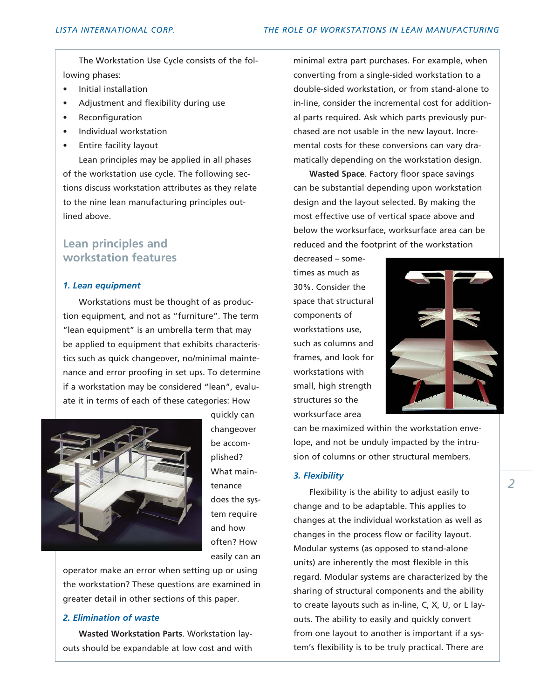The Workstation Use Cycle consists of the following phases:

- Initial installation
- Adjustment and flexibility during use
- **Reconfiguration**
- Individual workstation
- Entire facility layout

Lean principles may be applied in all phases of the workstation use cycle. The following sections discuss workstation attributes as they relate to the nine lean manufacturing principles outlined above.

### **Lean principles and workstation features**

#### *1. Lean equipment*

Workstations must be thought of as production equipment, and not as "furniture". The term "lean equipment" is an umbrella term that may be applied to equipment that exhibits characteristics such as quick changeover, no/minimal maintenance and error proofing in set ups. To determine if a workstation may be considered "lean", evaluate it in terms of each of these categories: How



quickly can changeover be accomplished? What maintenance does the system require and how often? How easily can an

operator make an error when setting up or using the workstation? These questions are examined in greater detail in other sections of this paper.

#### *2. Elimination of waste*

**Wasted Workstation Parts**. Workstation layouts should be expandable at low cost and with minimal extra part purchases. For example, when converting from a single-sided workstation to a double-sided workstation, or from stand-alone to in-line, consider the incremental cost for additional parts required. Ask which parts previously purchased are not usable in the new layout. Incremental costs for these conversions can vary dramatically depending on the workstation design.

**Wasted Space**. Factory floor space savings can be substantial depending upon workstation design and the layout selected. By making the most effective use of vertical space above and below the worksurface, worksurface area can be reduced and the footprint of the workstation

decreased – sometimes as much as 30%. Consider the space that structural components of workstations use, such as columns and frames, and look for workstations with small, high strength structures so the worksurface area



can be maximized within the workstation envelope, and not be unduly impacted by the intrusion of columns or other structural members.

#### *3. Flexibility*

Flexibility is the ability to adjust easily to change and to be adaptable. This applies to changes at the individual workstation as well as changes in the process flow or facility layout. Modular systems (as opposed to stand-alone units) are inherently the most flexible in this regard. Modular systems are characterized by the sharing of structural components and the ability to create layouts such as in-line, C, X, U, or L layouts. The ability to easily and quickly convert from one layout to another is important if a system's flexibility is to be truly practical. There are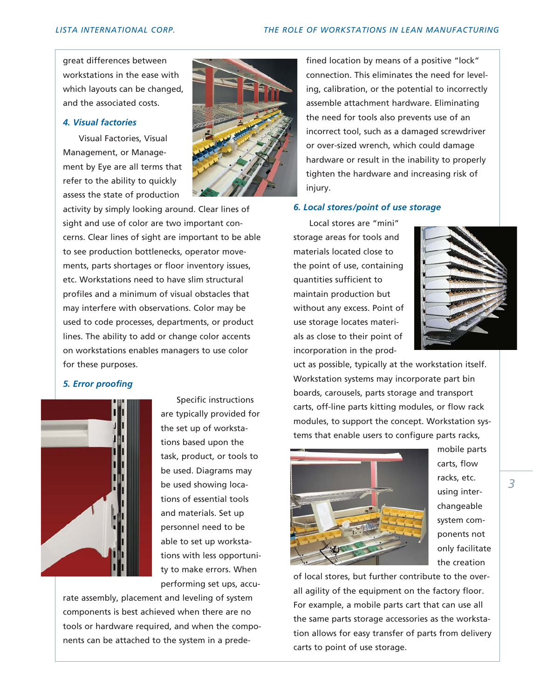great differences between workstations in the ease with which layouts can be changed, and the associated costs.

#### *4. Visual factories*

Visual Factories, Visual Management, or Management by Eye are all terms that refer to the ability to quickly assess the state of production

activity by simply looking around. Clear lines of sight and use of color are two important concerns. Clear lines of sight are important to be able to see production bottlenecks, operator movements, parts shortages or floor inventory issues, etc. Work stations need to have slim structural profiles and a minimum of visual obstacles that may interfere with observations. Color may be used to code processes, departments, or product lines. The ability to add or change color accents on workstations enables managers to use color for these purposes.

#### *5. Error proofing*



Specific instructions are typically provided for the set up of workstations based upon the task, product, or tools to be used. Diagrams may be used showing locations of essential tools and materials. Set up personnel need to be able to set up workstations with less opportunity to make errors. When performing set ups, accu-

rate assembly, placement and leveling of system components is best achieved when there are no tools or hardware required, and when the components can be attached to the system in a prede-

fined location by means of a positive "lock" connection. This eliminates the need for leveling, calibration, or the potential to incorrectly assemble attachment hardware. Eliminating the need for tools also prevents use of an incorrect tool, such as a damaged screwdriver or over-sized wrench, which could damage hardware or result in the inability to properly tighten the hardware and increasing risk of injury.

#### *6. Local stores/point of use storage*

Local stores are "mini" storage areas for tools and materials located close to the point of use, containing quantities sufficient to maintain production but without any excess. Point of use storage locates materials as close to their point of incorporation in the prod-



uct as possible, typically at the workstation itself. Workstation systems may incorporate part bin boards, carousels, parts storage and transport carts, off-line parts kitting modules, or flow rack modules, to support the concept. Workstation systems that enable users to configure parts racks,



mobile parts carts, flow racks, etc. using interchangeable system components not only facilitate the creation

of local stores, but further contribute to the overall agility of the equipment on the factory floor. For example, a mobile parts cart that can use all the same parts storage accessories as the workstation allows for easy transfer of parts from delivery carts to point of use storage.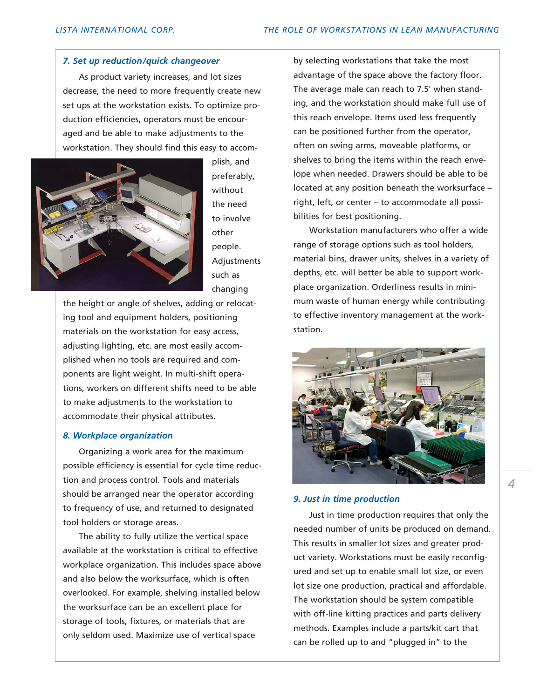#### *7. Set up reduction/quick changeover*

As product variety increases, and lot sizes decrease, the need to more frequently create new set ups at the workstation exists. To optimize production efficiencies, operators must be encouraged and be able to make adjustments to the workstation. They should find this easy to accom-



plish, and preferably, without the need to involve other people. Adjustments such as changing

the height or angle of shelves, adding or relocating tool and equipment holders, positioning materials on the workstation for easy access, adjusting lighting, etc. are most easily accomplished when no tools are required and components are light weight. In multi-shift operations, workers on different shifts need to be able to make adjustments to the workstation to accommodate their physical attributes.

#### *8. Workplace organization*

Organizing a work area for the maximum possible efficiency is essential for cycle time reduction and process control. Tools and materials should be arranged near the operator according to frequency of use, and returned to designated tool holders or storage areas.

The ability to fully utilize the vertical space available at the workstation is critical to effective workplace organization. This includes space above and also below the worksurface, which is often overlooked. For example, shelving installed below the worksurface can be an excellent place for storage of tools, fixtures, or materials that are only seldom used. Maximize use of vertical space

by selecting workstations that take the most advantage of the space above the factory floor. The average male can reach to 7.5' when standing, and the workstation should make full use of this reach envelope. Items used less frequently can be positioned further from the operator, often on swing arms, moveable platforms, or shelves to bring the items within the reach envelope when needed. Drawers should be able to be located at any position beneath the worksurface – right, left, or center – to accommodate all possibilities for best positioning.

Workstation manufacturers who offer a wide range of storage options such as tool holders, material bins, drawer units, shelves in a variety of depths, etc. will better be able to support workplace organization. Orderliness results in minimum waste of human energy while contributing to effective inventory management at the workstation.



#### *9. Just in time production*

Just in time production requires that only the needed number of units be produced on demand. This results in smaller lot sizes and greater product variety. Workstations must be easily reconfigured and set up to enable small lot size, or even lot size one production, practical and affordable. The workstation should be system compatible with off-line kitting practices and parts delivery methods. Examples include a parts/kit cart that can be rolled up to and "plugged in" to the